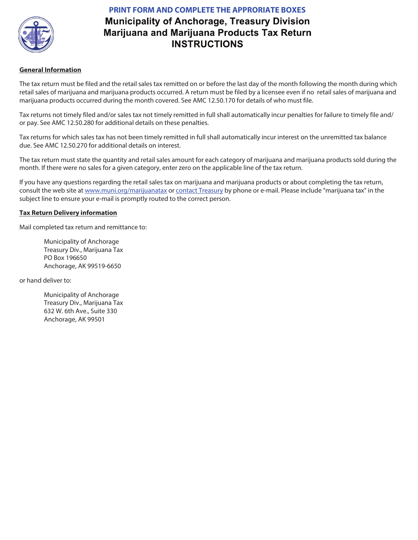

## **PRINT FORM AND COMPLETE THE APPRORIATE BOXES Municipality of Anchorage, Treasury Division** Marijuana and Marijuana Products Tax Return **INSTRUCTIONS**

## **General Information**

The tax return must be filed and the retail sales tax remitted on or before the last day of the month following the month during which retail sales of marijuana and marijuana products occurred. A return must be filed by a licensee even if no retail sales of marijuana and marijuana products occurred during the month covered. See AMC 12.50.170 for details of who must file.

Tax returns not timely filed and/or sales tax not timely remitted in full shall automatically incur penalties for failure to timely file and/ or pay. See AMC 12.50.280 for additional details on these penalties.

Tax returns for which sales tax has not been timely remitted in full shall automatically incur interest on the unremitted tax balance due. See AMC 12.50.270 for additional details on interest.

The tax return must state the quantity and retail sales amount for each category of marijuana and marijuana products sold during the month. If there were no sales for a given category, enter zero on the applicable line of the tax return.

If you have any questions regarding the retail sales tax on marijuana and marijuana products or about completing the tax return, consult the web site at www.muni.org/marijuanatax or contact Treasury by phone or e-mail. Please include "marijuana tax" in the subject line to ensure your e-mail is promptly routed to the correct person.

## **Tax Return Delivery information**

Mail completed tax return and remittance to:

Municipality of Anchorage Treasury Div., Marijuana Tax PO Box 196650 Anchorage, AK 99519-6650

or hand deliver to:

Municipality of Anchorage Treasury Div., Marijuana Tax 632 W. 6th Ave., Suite 330 Anchorage, AK 99501